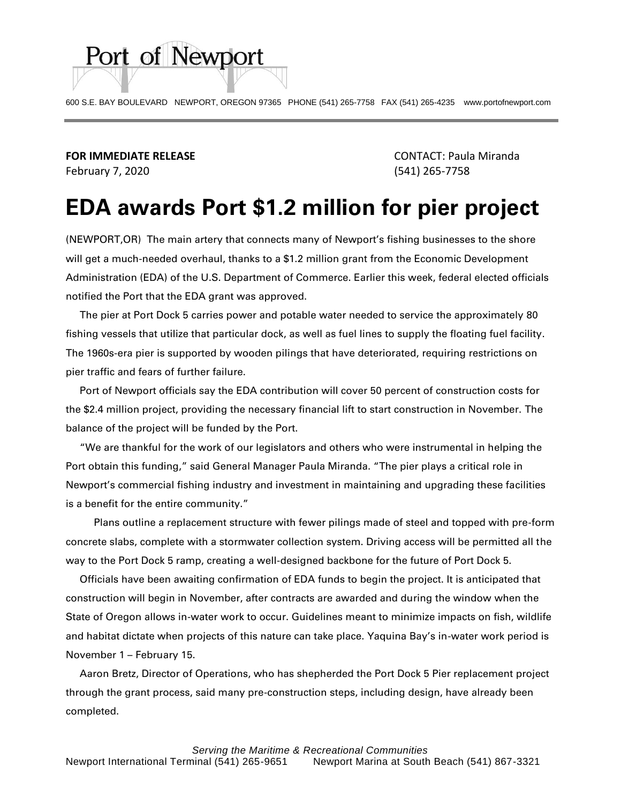

**FOR IMMEDIATE RELEASE** CONTACT: Paula Miranda February 7, 2020 (541) 265-7758

Port of Newport

## **EDA awards Port \$1.2 million for pier project**

(NEWPORT,OR) The main artery that connects many of Newport's fishing businesses to the shore will get a much-needed overhaul, thanks to a \$1.2 million grant from the Economic Development Administration (EDA) of the U.S. Department of Commerce. Earlier this week, federal elected officials notified the Port that the EDA grant was approved.

 The pier at Port Dock 5 carries power and potable water needed to service the approximately 80 fishing vessels that utilize that particular dock, as well as fuel lines to supply the floating fuel facility. The 1960s-era pier is supported by wooden pilings that have deteriorated, requiring restrictions on pier traffic and fears of further failure.

 Port of Newport officials say the EDA contribution will cover 50 percent of construction costs for the \$2.4 million project, providing the necessary financial lift to start construction in November. The balance of the project will be funded by the Port.

 "We are thankful for the work of our legislators and others who were instrumental in helping the Port obtain this funding," said General Manager Paula Miranda. "The pier plays a critical role in Newport's commercial fishing industry and investment in maintaining and upgrading these facilities is a benefit for the entire community."

 Plans outline a replacement structure with fewer pilings made of steel and topped with pre-form concrete slabs, complete with a stormwater collection system. Driving access will be permitted all the way to the Port Dock 5 ramp, creating a well-designed backbone for the future of Port Dock 5.

 Officials have been awaiting confirmation of EDA funds to begin the project. It is anticipated that construction will begin in November, after contracts are awarded and during the window when the State of Oregon allows in-water work to occur. Guidelines meant to minimize impacts on fish, wildlife and habitat dictate when projects of this nature can take place. Yaquina Bay's in-water work period is November 1 – February 15.

 Aaron Bretz, Director of Operations, who has shepherded the Port Dock 5 Pier replacement project through the grant process, said many pre-construction steps, including design, have already been completed.